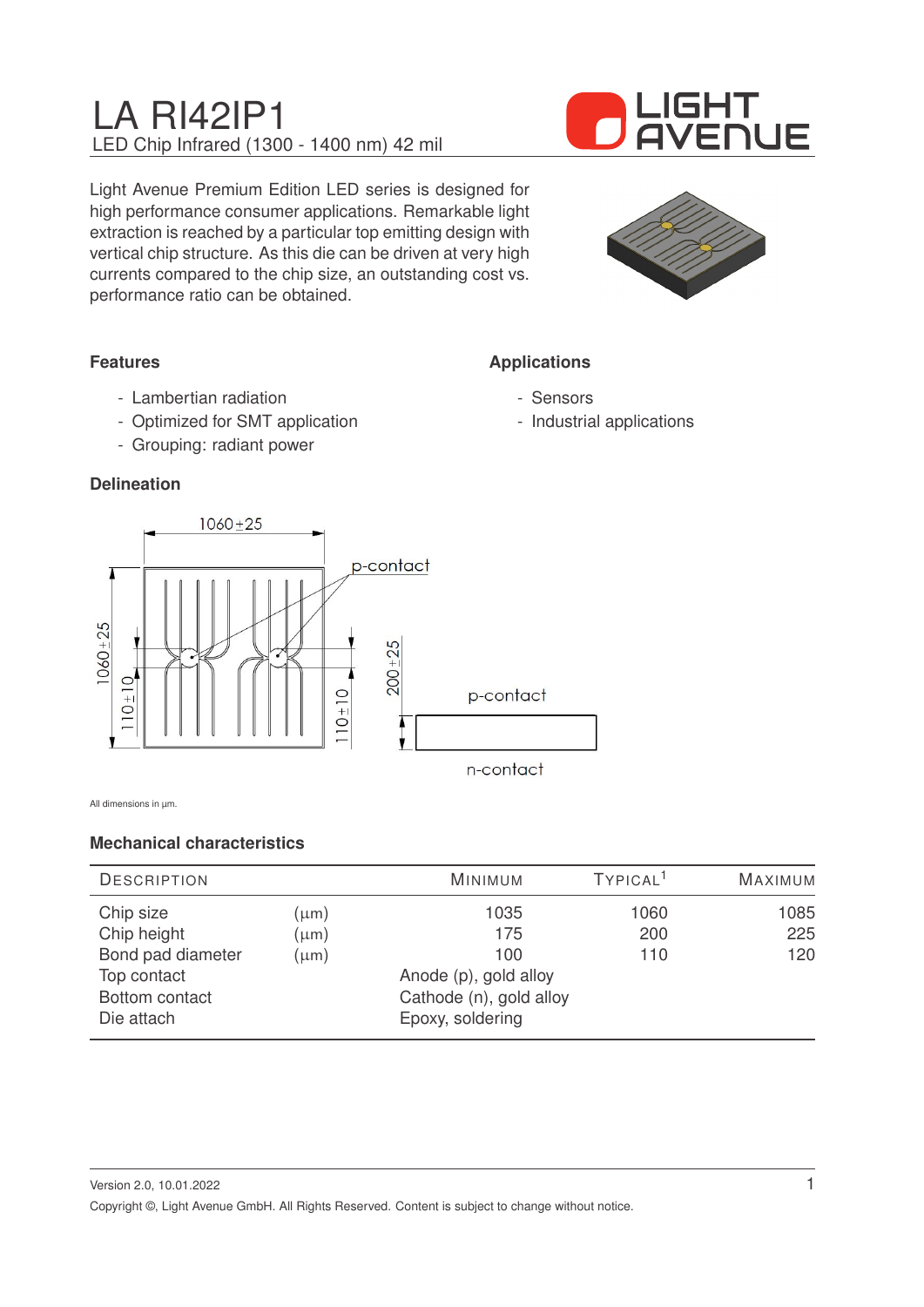

Light Avenue Premium Edition LED series is designed for high performance consumer applications. Remarkable light extraction is reached by a particular top emitting design with vertical chip structure. As this die can be driven at very high currents compared to the chip size, an outstanding cost vs. performance ratio can be obtained.



**Applications**

- Sensors

- Industrial applications

## **Features**

- Lambertian radiation
- Optimized for SMT application
- Grouping: radiant power

### **Delineation**



All dimensions in um.

### **Mechanical characteristics**

| <b>DESCRIPTION</b> |                         | <b>MINIMUM</b>        | TYPICAL <sup>1</sup> | <b>MAXIMUM</b> |
|--------------------|-------------------------|-----------------------|----------------------|----------------|
| Chip size          | (µm)                    | 1035                  | 1060                 | 1085           |
| Chip height        | $(\mu m)$               | 175                   | 200                  | 225            |
| Bond pad diameter  | $(\mu m)$               | 100                   | 110                  | 120            |
| Top contact        |                         | Anode (p), gold alloy |                      |                |
| Bottom contact     | Cathode (n), gold alloy |                       |                      |                |
| Die attach         |                         | Epoxy, soldering      |                      |                |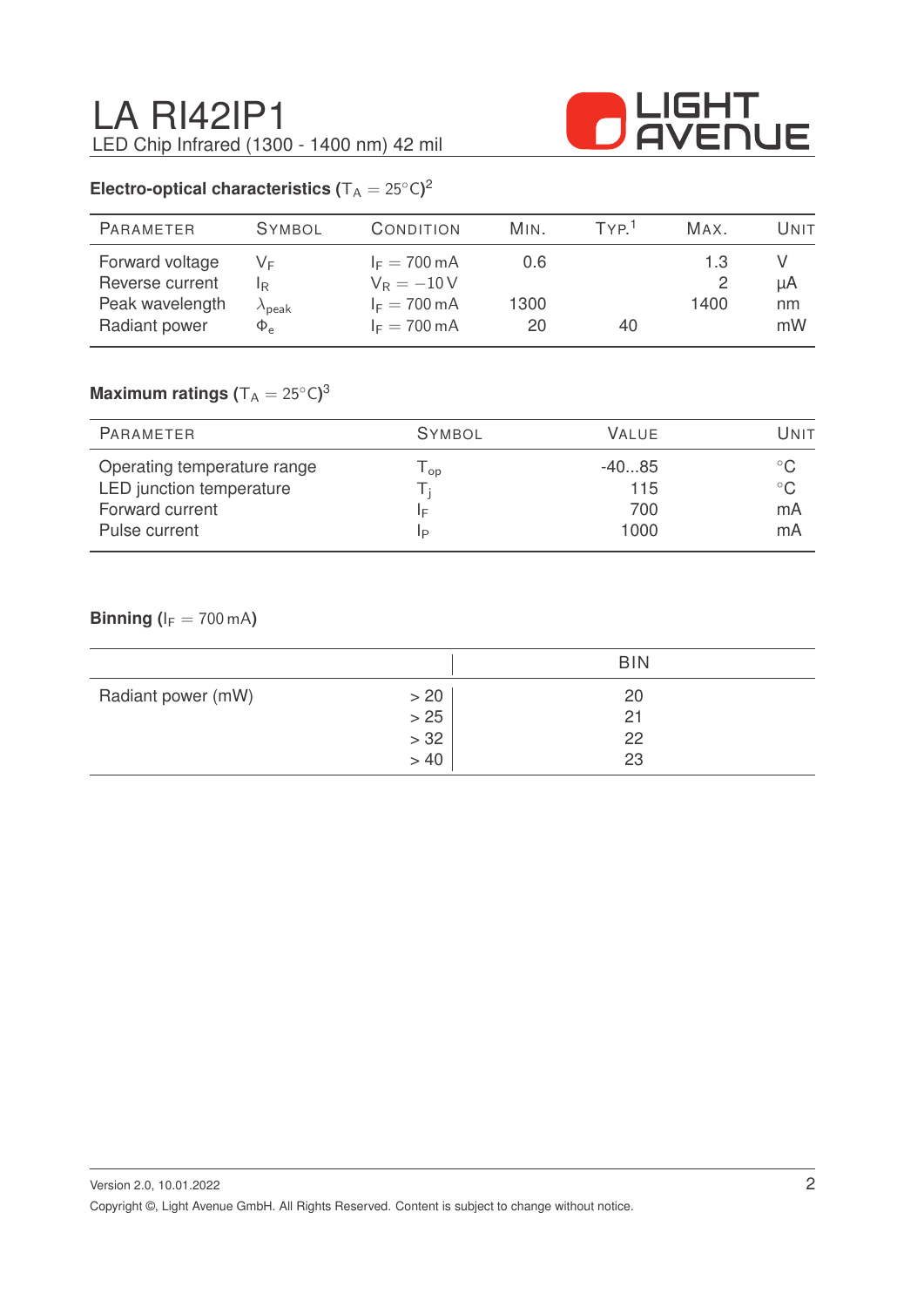

# **Electro-optical characteristics (** $T_A = 25^{\circ}C$ )<sup>2</sup>

| <b>PARAMETER</b>                                      | <b>SYMBOL</b>                    | CONDITION                                                        | MIN.        | TYP <sup>1</sup> | MAX.        | Unit     |
|-------------------------------------------------------|----------------------------------|------------------------------------------------------------------|-------------|------------------|-------------|----------|
| Forward voltage<br>Reverse current<br>Peak wavelength | VF<br>IR.                        | $I_F = 700 \text{ mA}$<br>$V_R = -10V$<br>$I_F = 700 \text{ mA}$ | 0.6<br>1300 |                  | 1.3<br>1400 | μA<br>nm |
| Radiant power                                         | $\lambda_{\sf peak}$<br>$\Phi_e$ | $I_F = 700 \text{ mA}$                                           | 20          | 40               |             | mW       |

## $\mathsf{Maximum}$  ratings  $(\mathsf{T_A} = 25^\circ\mathsf{C})^3$

| PARAMETER                   | <b>SYMBOL</b> | <b>VALUE</b> | UNIT         |
|-----------------------------|---------------|--------------|--------------|
| Operating temperature range | op            | $-4085$      |              |
| LED junction temperature    |               | 115          | $^{\circ}$ C |
| Forward current             | ΙF            | 700          | mA           |
| Pulse current               | IP            | 1000         | mA           |

### **Binning (** $I_F = 700$  mA)

|                    |       | <b>BIN</b> |  |
|--------------------|-------|------------|--|
| Radiant power (mW) | > 20  | 20         |  |
|                    | $>25$ | 21         |  |
|                    | $>32$ | 22         |  |
|                    | > 40  | 23         |  |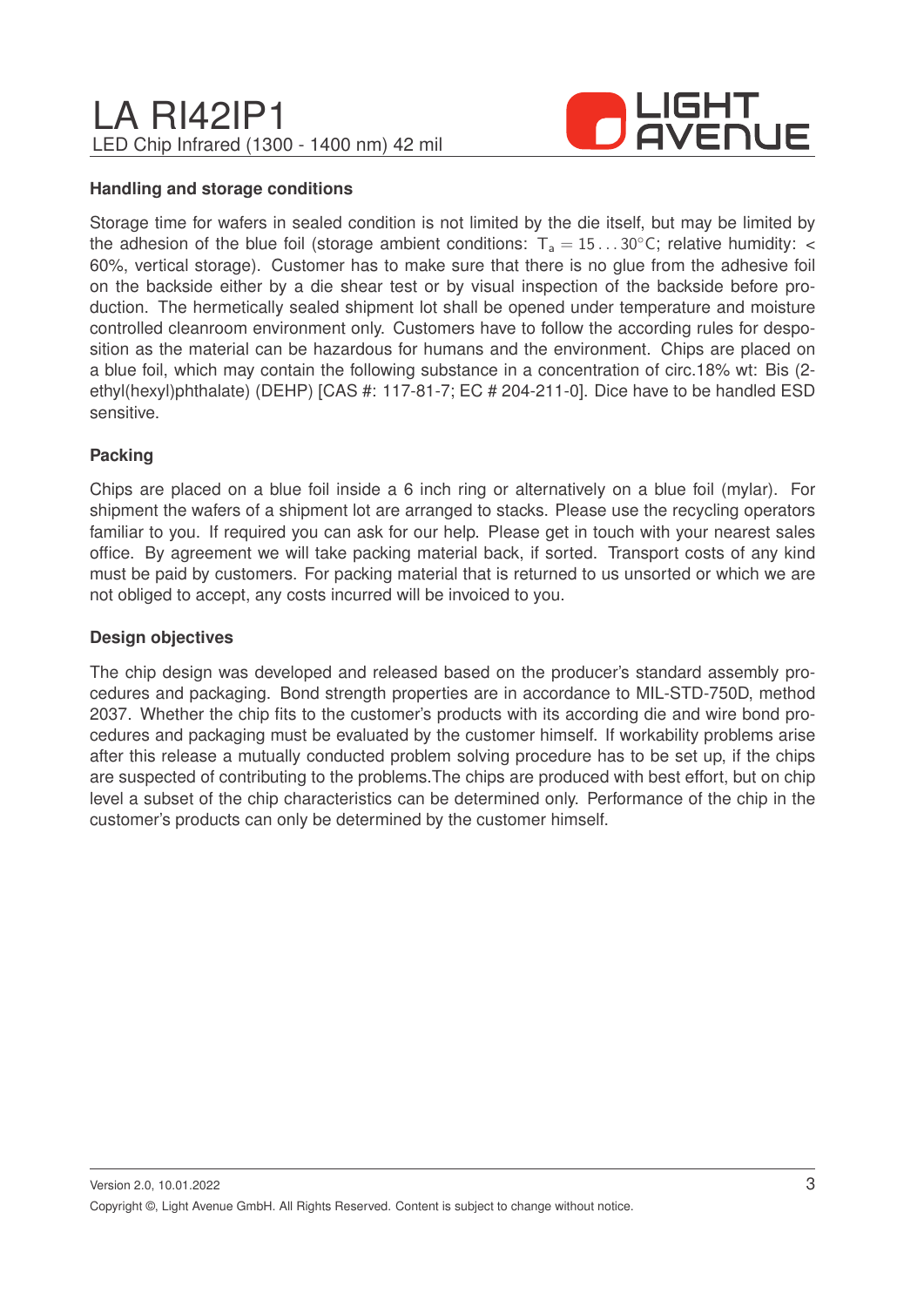

#### **Handling and storage conditions**

Storage time for wafers in sealed condition is not limited by the die itself, but may be limited by the adhesion of the blue foil (storage ambient conditions:  $T_a = 15...30^{\circ}$ C; relative humidity: < 60%, vertical storage). Customer has to make sure that there is no glue from the adhesive foil on the backside either by a die shear test or by visual inspection of the backside before production. The hermetically sealed shipment lot shall be opened under temperature and moisture controlled cleanroom environment only. Customers have to follow the according rules for desposition as the material can be hazardous for humans and the environment. Chips are placed on a blue foil, which may contain the following substance in a concentration of circ.18% wt: Bis (2 ethyl(hexyl)phthalate) (DEHP) [CAS #: 117-81-7; EC # 204-211-0]. Dice have to be handled ESD sensitive.

#### **Packing**

Chips are placed on a blue foil inside a 6 inch ring or alternatively on a blue foil (mylar). For shipment the wafers of a shipment lot are arranged to stacks. Please use the recycling operators familiar to you. If required you can ask for our help. Please get in touch with your nearest sales office. By agreement we will take packing material back, if sorted. Transport costs of any kind must be paid by customers. For packing material that is returned to us unsorted or which we are not obliged to accept, any costs incurred will be invoiced to you.

#### **Design objectives**

The chip design was developed and released based on the producer's standard assembly procedures and packaging. Bond strength properties are in accordance to MIL-STD-750D, method 2037. Whether the chip fits to the customer's products with its according die and wire bond procedures and packaging must be evaluated by the customer himself. If workability problems arise after this release a mutually conducted problem solving procedure has to be set up, if the chips are suspected of contributing to the problems.The chips are produced with best effort, but on chip level a subset of the chip characteristics can be determined only. Performance of the chip in the customer's products can only be determined by the customer himself.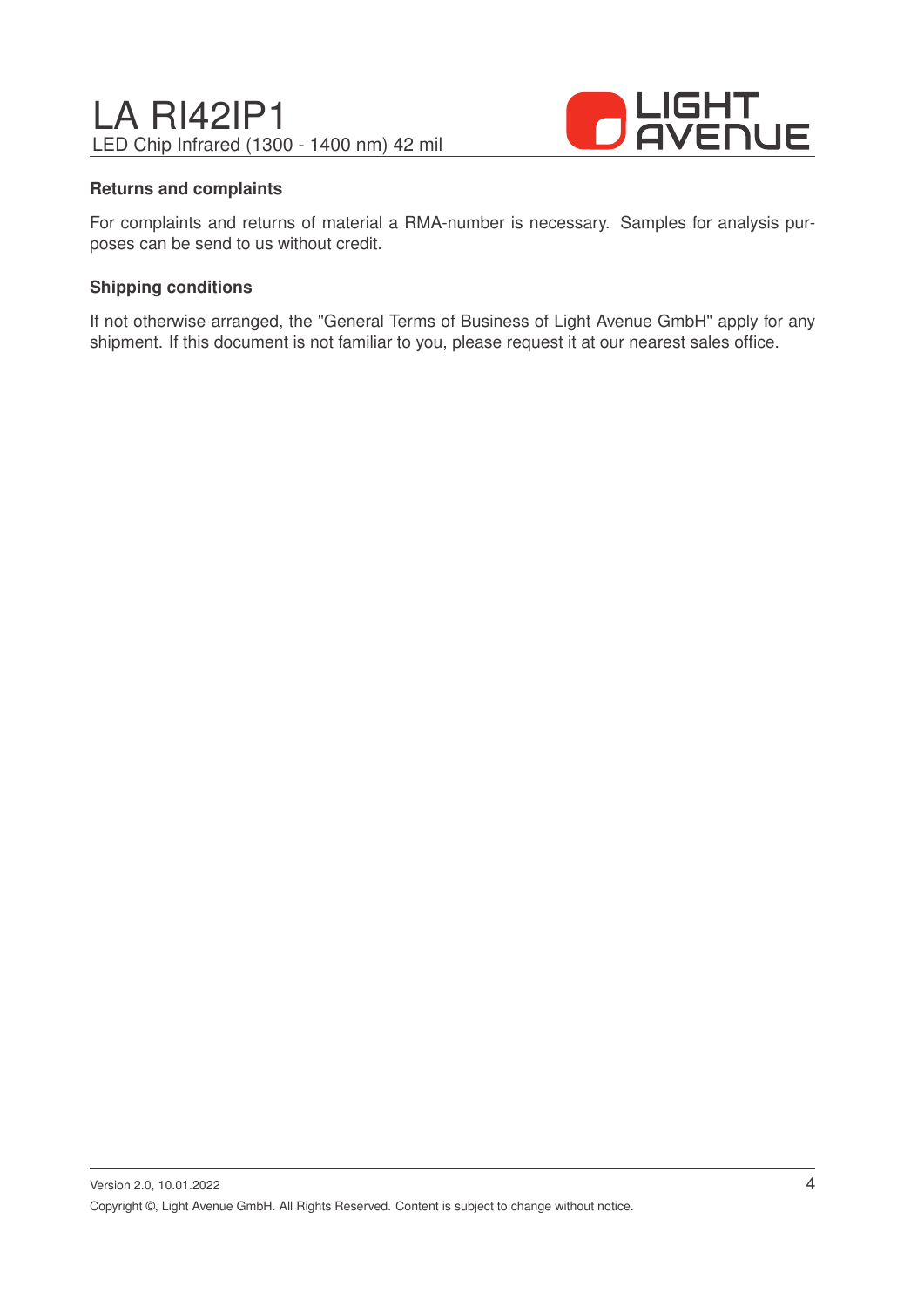

#### **Returns and complaints**

For complaints and returns of material a RMA-number is necessary. Samples for analysis purposes can be send to us without credit.

#### **Shipping conditions**

If not otherwise arranged, the "General Terms of Business of Light Avenue GmbH" apply for any shipment. If this document is not familiar to you, please request it at our nearest sales office.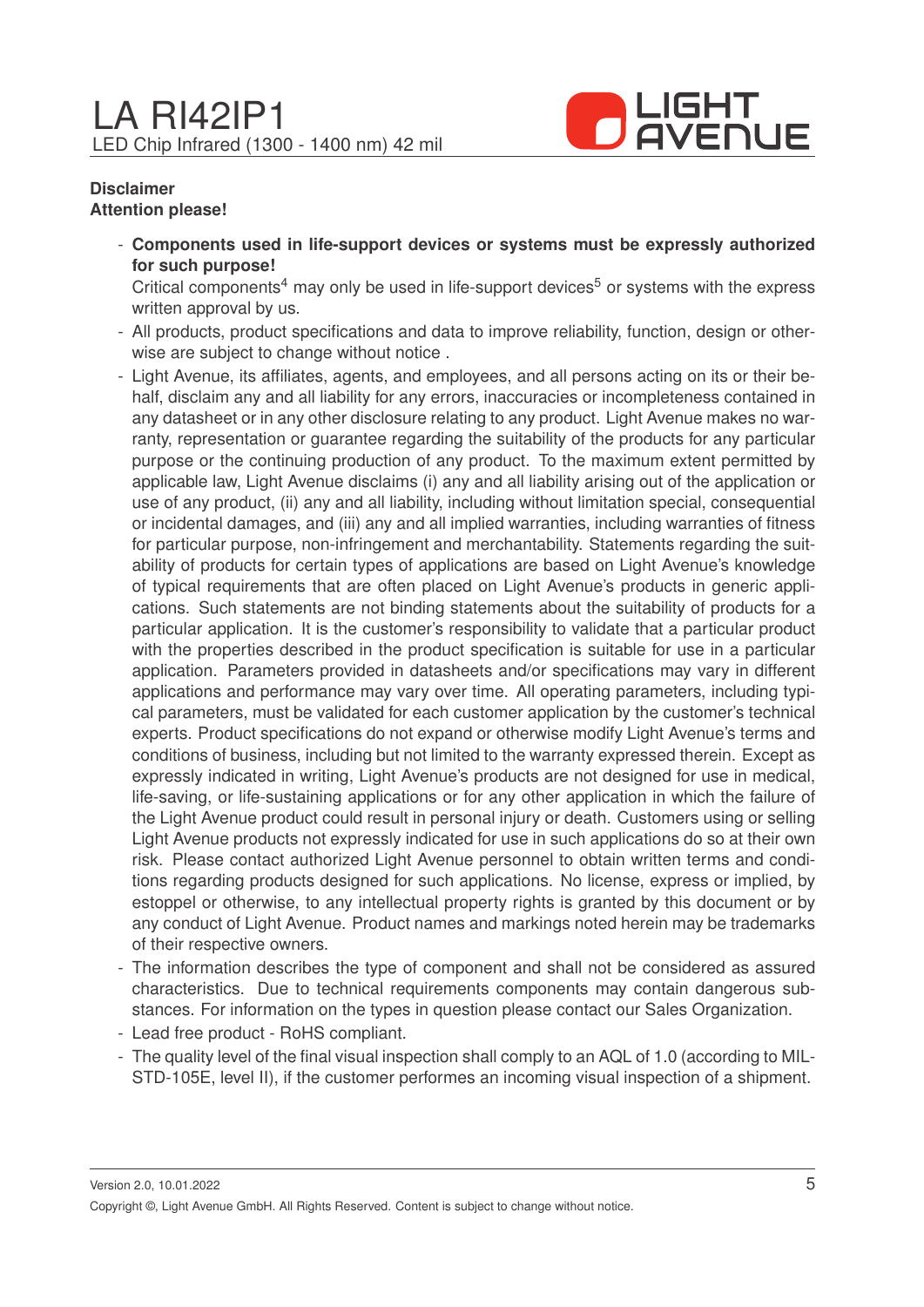

#### **Disclaimer Attention please!**

- **Components used in life-support devices or systems must be expressly authorized for such purpose!**

Critical components<sup>4</sup> may only be used in life-support devices<sup>5</sup> or systems with the express written approval by us.

- All products, product specifications and data to improve reliability, function, design or otherwise are subject to change without notice .
- Light Avenue, its affiliates, agents, and employees, and all persons acting on its or their behalf, disclaim any and all liability for any errors, inaccuracies or incompleteness contained in any datasheet or in any other disclosure relating to any product. Light Avenue makes no warranty, representation or guarantee regarding the suitability of the products for any particular purpose or the continuing production of any product. To the maximum extent permitted by applicable law, Light Avenue disclaims (i) any and all liability arising out of the application or use of any product, (ii) any and all liability, including without limitation special, consequential or incidental damages, and (iii) any and all implied warranties, including warranties of fitness for particular purpose, non-infringement and merchantability. Statements regarding the suitability of products for certain types of applications are based on Light Avenue's knowledge of typical requirements that are often placed on Light Avenue's products in generic applications. Such statements are not binding statements about the suitability of products for a particular application. It is the customer's responsibility to validate that a particular product with the properties described in the product specification is suitable for use in a particular application. Parameters provided in datasheets and/or specifications may vary in different applications and performance may vary over time. All operating parameters, including typical parameters, must be validated for each customer application by the customer's technical experts. Product specifications do not expand or otherwise modify Light Avenue's terms and conditions of business, including but not limited to the warranty expressed therein. Except as expressly indicated in writing, Light Avenue's products are not designed for use in medical, life-saving, or life-sustaining applications or for any other application in which the failure of the Light Avenue product could result in personal injury or death. Customers using or selling Light Avenue products not expressly indicated for use in such applications do so at their own risk. Please contact authorized Light Avenue personnel to obtain written terms and conditions regarding products designed for such applications. No license, express or implied, by estoppel or otherwise, to any intellectual property rights is granted by this document or by any conduct of Light Avenue. Product names and markings noted herein may be trademarks of their respective owners.
- The information describes the type of component and shall not be considered as assured characteristics. Due to technical requirements components may contain dangerous substances. For information on the types in question please contact our Sales Organization.
- Lead free product RoHS compliant.
- The quality level of the final visual inspection shall comply to an AQL of 1.0 (according to MIL-STD-105E, level II), if the customer performes an incoming visual inspection of a shipment.